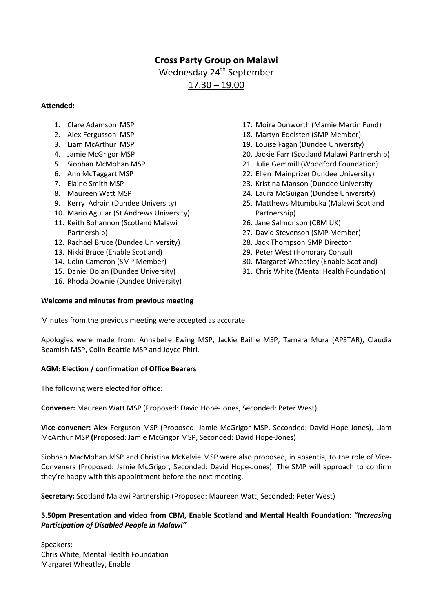# **Cross Party Group on Malawi**

Wednesday 24<sup>th</sup> September

17.30 – 19.00

### **Attended:**

- 1. Clare Adamson MSP
- 2. Alex Fergusson MSP
- 3. Liam McArthur MSP
- 4. Jamie McGrigor MSP
- 5. Siobhan McMohan MSP
- 6. Ann McTaggart MSP
- 7. Elaine Smith MSP
- 8. Maureen Watt MSP
- 9. Kerry Adrain (Dundee University)
- 10. Mario Aguilar (St Andrews University)
- 11. Keith Bohannon (Scotland Malawi Partnership)
- 12. Rachael Bruce (Dundee University)
- 13. Nikki Bruce (Enable Scotland)
- 14. Colin Cameron (SMP Member)
- 15. Daniel Dolan (Dundee University)
- 16. Rhoda Downie (Dundee University)

## **Welcome and minutes from previous meeting**

- 17. Moira Dunworth (Mamie Martin Fund)
- 18. Martyn Edelsten (SMP Member)
- 19. Louise Fagan (Dundee University)
- 20. Jackie Farr (Scotland Malawi Partnership)
- 21. Julie Gemmill (Woodford Foundation)
- 22. Ellen Mainprize( Dundee University)
- 23. Kristina Manson (Dundee University
- 24. Laura McGuigan (Dundee University)
- 25. Matthews Mtumbuka (Malawi Scotland Partnership)
- 26. Jane Salmonson (CBM UK)
- 27. David Stevenson (SMP Member)
- 28. Jack Thompson SMP Director
- 29. Peter West (Honorary Consul)
- 30. Margaret Wheatley (Enable Scotland)
- 31. Chris White (Mental Health Foundation)

Minutes from the previous meeting were accepted as accurate.

Apologies were made from: Annabelle Ewing MSP, Jackie Baillie MSP, Tamara Mura (APSTAR), Claudia Beamish MSP, Colin Beattie MSP and Joyce Phiri.

## **AGM: Election / confirmation of Office Bearers**

The following were elected for office:

**Convener:** Maureen Watt MSP (Proposed: David Hope-Jones, Seconded: Peter West)

**Vice-convener:** Alex Ferguson MSP **(**Proposed: Jamie McGrigor MSP, Seconded: David Hope-Jones), Liam McArthur MSP **(**Proposed: Jamie McGrigor MSP, Seconded: David Hope-Jones)

Siobhan MacMohan MSP and Christina McKelvie MSP were also proposed, in absentia, to the role of Vice-Conveners (Proposed: Jamie McGrigor, Seconded: David Hope-Jones). The SMP will approach to confirm they're happy with this appointment before the next meeting.

**Secretary:** Scotland Malawi Partnership (Proposed: Maureen Watt, Seconded: Peter West)

# **5.50pm Presentation and video from CBM, Enable Scotland and Mental Health Foundation:** *"Increasing Participation of Disabled People in Malawi"*

Speakers: Chris White, Mental Health Foundation Margaret Wheatley, Enable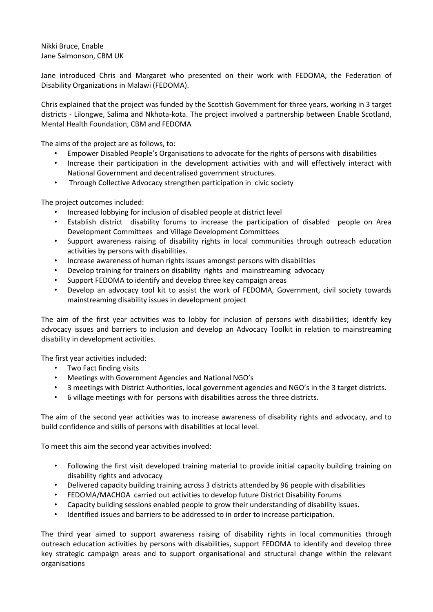Nikki Bruce, Enable Jane Salmonson, CBM UK

Jane introduced Chris and Margaret who presented on their work with FEDOMA, the Federation of Disability Organizations in Malawi (FEDOMA).

Chris explained that the project was funded by the Scottish Government for three years, working in 3 target districts - Lilongwe, Salima and Nkhota-kota. The project involved a partnership between Enable Scotland, Mental Health Foundation, CBM and FEDOMA

The aims of the project are as follows, to:

- Empower Disabled People's Organisations to advocate for the rights of persons with disabilities
- Increase their participation in the development activities with and will effectively interact with National Government and decentralised government structures.
- Through Collective Advocacy strengthen participation in civic society

The project outcomes included:

- Increased lobbying for inclusion of disabled people at district level
- Establish district disability forums to increase the participation of disabled people on Area Development Committees and Village Development Committees
- Support awareness raising of disability rights in local communities through outreach education activities by persons with disabilities.
- Increase awareness of human rights issues amongst persons with disabilities
- Develop training for trainers on disability rights and mainstreaming advocacy
- Support FEDOMA to identify and develop three key campaign areas
- Develop an advocacy tool kit to assist the work of FEDOMA, Government, civil society towards mainstreaming disability issues in development project

The aim of the first year activities was to lobby for inclusion of persons with disabilities; identify key advocacy issues and barriers to inclusion and develop an Advocacy Toolkit in relation to mainstreaming disability in development activities.

The first year activities included:

- Two Fact finding visits
- Meetings with Government Agencies and National NGO's
- 3 meetings with District Authorities, local government agencies and NGO's in the 3 target districts.
- 6 village meetings with for persons with disabilities across the three districts.

The aim of the second year activities was to increase awareness of disability rights and advocacy, and to build confidence and skills of persons with disabilities at local level.

To meet this aim the second year activities involved:

- Following the first visit developed training material to provide initial capacity building training on disability rights and advocacy
- Delivered capacity building training across 3 districts attended by 96 people with disabilities
- FEDOMA/MACHOA carried out activities to develop future District Disability Forums
- Capacity building sessions enabled people to grow their understanding of disability issues.
- Identified issues and barriers to be addressed to in order to increase participation.

The third year aimed to support awareness raising of disability rights in local communities through outreach education activities by persons with disabilities, support FEDOMA to identify and develop three key strategic campaign areas and to support organisational and structural change within the relevant organisations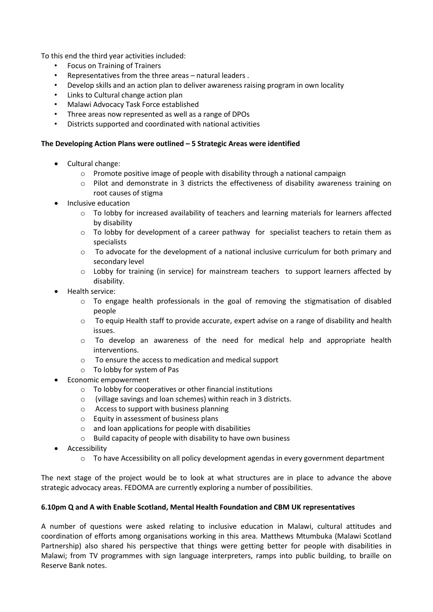To this end the third year activities included:

- Focus on Training of Trainers
- Representatives from the three areas natural leaders .
- Develop skills and an action plan to deliver awareness raising program in own locality
- Links to Cultural change action plan
- Malawi Advocacy Task Force established
- Three areas now represented as well as a range of DPOs
- Districts supported and coordinated with national activities

### **The Developing Action Plans were outlined – 5 Strategic Areas were identified**

- Cultural change:
	- $\circ$  Promote positive image of people with disability through a national campaign
	- o Pilot and demonstrate in 3 districts the effectiveness of disability awareness training on root causes of stigma
- Inclusive education
	- o To lobby for increased availability of teachers and learning materials for learners affected by disability
	- $\circ$  To lobby for development of a career pathway for specialist teachers to retain them as specialists
	- o To advocate for the development of a national inclusive curriculum for both primary and secondary level
	- o Lobby for training (in service) for mainstream teachers to support learners affected by disability.
- Health service:
	- $\circ$  To engage health professionals in the goal of removing the stigmatisation of disabled people
	- o To equip Health staff to provide accurate, expert advise on a range of disability and health issues.
	- o To develop an awareness of the need for medical help and appropriate health interventions.
	- o To ensure the access to medication and medical support
	- o To lobby for system of Pas
- Economic empowerment
	- o To lobby for cooperatives or other financial institutions
	- o (village savings and loan schemes) within reach in 3 districts.
	- o Access to support with business planning
	- o Equity in assessment of business plans
	- o and loan applications for people with disabilities
	- o Build capacity of people with disability to have own business
- Accessibility
	- o To have Accessibility on all policy development agendas in every government department

The next stage of the project would be to look at what structures are in place to advance the above strategic advocacy areas. FEDOMA are currently exploring a number of possibilities.

## **6.10pm Q and A with Enable Scotland, Mental Health Foundation and CBM UK representatives**

A number of questions were asked relating to inclusive education in Malawi, cultural attitudes and coordination of efforts among organisations working in this area. Matthews Mtumbuka (Malawi Scotland Partnership) also shared his perspective that things were getting better for people with disabilities in Malawi; from TV programmes with sign language interpreters, ramps into public building, to braille on Reserve Bank notes.